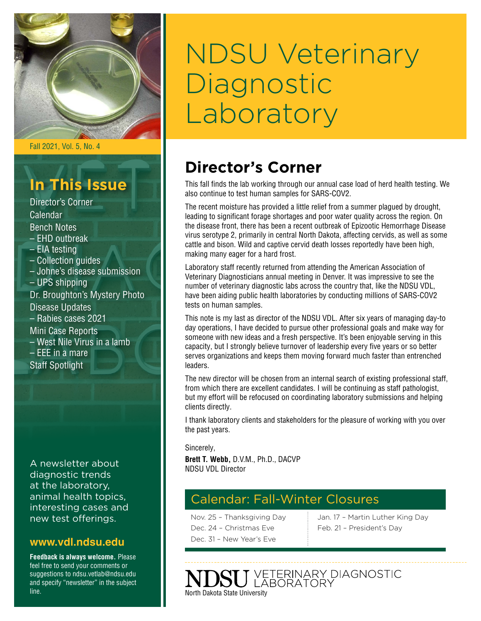

Fall 2021, Vol. 5, No. 4

# **In This Issue**

Director's Corner Calendar Bench Notes – EHD outbreak – EIA testing – Collection guides – Johne's disease submission – UPS shipping Dr. Broughton's Mystery Photo Disease Updates – Rabies cases 2021 Mini Case Reports – West Nile Virus in a lamb – EEE in a mare Staff Spotlight

A newsletter about diagnostic trends at the laboratory, animal health topics, interesting cases and new test offerings.

### **[www.vdl.ndsu.edu](file:///C:\Users\david.haasser\AppData\Local\Microsoft\Windows\Temporary%20Internet%20Files\Content.Outlook\2SAH4N2J\www.ag.ndsu.edu\ansc\)**

**Feedback is always welcome.** Please feel free to send your comments or suggestions to ndsu.vetlab@ndsu.edu and specify "newsletter" in the subject line.

# NDSU Veterinary **Diagnostic** Laboratory

# **Director's Corner**

This fall finds the lab working through our annual case load of herd health testing. We also continue to test human samples for SARS-COV2.

The recent moisture has provided a little relief from a summer plagued by drought, leading to significant forage shortages and poor water quality across the region. On the disease front, there has been a recent outbreak of Epizootic Hemorrhage Disease virus serotype 2, primarily in central North Dakota, affecting cervids, as well as some cattle and bison. Wild and captive cervid death losses reportedly have been high, making many eager for a hard frost.

Laboratory staff recently returned from attending the American Association of Veterinary Diagnosticians annual meeting in Denver. It was impressive to see the number of veterinary diagnostic labs across the country that, like the NDSU VDL, have been aiding public health laboratories by conducting millions of SARS-COV2 tests on human samples.

This note is my last as director of the NDSU VDL. After six years of managing day-to day operations, I have decided to pursue other professional goals and make way for someone with new ideas and a fresh perspective. It's been enjoyable serving in this capacity, but I strongly believe turnover of leadership every five years or so better serves organizations and keeps them moving forward much faster than entrenched leaders.

The new director will be chosen from an internal search of existing professional staff, from which there are excellent candidates. I will be continuing as staff pathologist, but my effort will be refocused on coordinating laboratory submissions and helping clients directly.

I thank laboratory clients and stakeholders for the pleasure of working with you over the past years.

Sincerely,

**Brett T. Webb,** D.V.M., Ph.D., DACVP NDSU VDL Director

### Calendar: Fall-Winter Closures

Nov. 25 – Thanksgiving Day Dec. 24 – Christmas Eve Dec. 31 – New Year's Eve

Jan. 17 – Martin Luther King Day Feb. 21 – President's Day

VETERINARY DIAGNOSTIC<br>LABORATORY North Dakota State University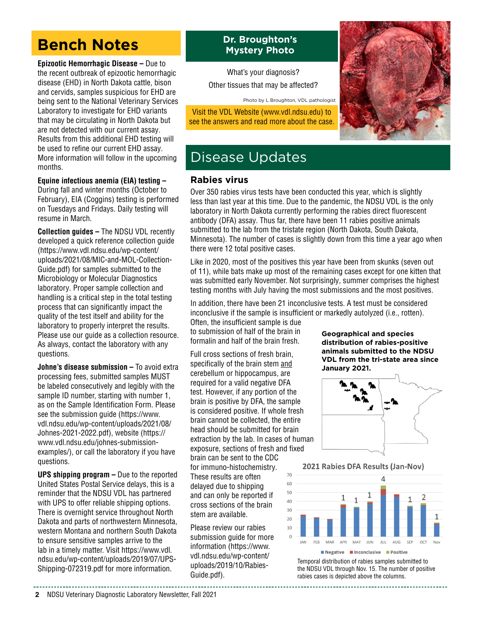# **Bench Notes**

**Epizootic Hemorrhagic Disease –** Due to the recent outbreak of epizootic hemorrhagic disease (EHD) in North Dakota cattle, bison and cervids, samples suspicious for EHD are being sent to the National Veterinary Services Laboratory to investigate for EHD variants that may be circulating in North Dakota but are not detected with our current assay. Results from this additional EHD testing will be used to refine our current EHD assay. More information will follow in the upcoming months.

### **Equine infectious anemia (EIA) testing –**

During fall and winter months (October to February), EIA (Coggins) testing is performed on Tuesdays and Fridays. Daily testing will resume in March.

**Collection guides –** The NDSU VDL recently developed a quick reference collection guide [\(https://www.vdl.ndsu.edu/wp-content/](https://www.vdl.ndsu.edu/wp-content/uploads/2021/08/MIC-and-MOL-Collection-Guide.pdf) [uploads/2021/08/MIC-and-MOL-Collection-](https://www.vdl.ndsu.edu/wp-content/uploads/2021/08/MIC-and-MOL-Collection-Guide.pdf)[Guide.pdf](https://www.vdl.ndsu.edu/wp-content/uploads/2021/08/MIC-and-MOL-Collection-Guide.pdf)) for samples submitted to the Microbiology or Molecular Diagnostics laboratory. Proper sample collection and handling is a critical step in the total testing process that can significantly impact the quality of the test itself and ability for the laboratory to properly interpret the results. Please use our guide as a collection resource. As always, contact the laboratory with any questions.

**Johne's disease submission – To avoid extra** processing fees, submitted samples MUST be labeled consecutively and legibly with the sample ID number, starting with number 1, as on the Sample Identification Form. Please see the submission guide [\(https://www.](https://www.vdl.ndsu.edu/wp-content/uploads/2021/08/Johnes-2021-2022.pdf) [vdl.ndsu.edu/wp-content/uploads/2021/08/](https://www.vdl.ndsu.edu/wp-content/uploads/2021/08/Johnes-2021-2022.pdf) [Johnes-2021-2022.pdf](https://www.vdl.ndsu.edu/wp-content/uploads/2021/08/Johnes-2021-2022.pdf)), website [\(https://](https://www.vdl.ndsu.edu/johnes-submission-examples/) [www.vdl.ndsu.edu/johnes-submission](https://www.vdl.ndsu.edu/johnes-submission-examples/)[examples/\)](https://www.vdl.ndsu.edu/johnes-submission-examples/), or call the laboratory if you have questions.

**UPS shipping program –** Due to the reported United States Postal Service delays, this is a reminder that the NDSU VDL has partnered with UPS to offer reliable shipping options. There is overnight service throughout North Dakota and parts of northwestern Minnesota, western Montana and northern South Dakota to ensure sensitive samples arrive to the lab in a timely matter. Visit [https://www.vdl.](https://www.vdl.ndsu.edu/wp-content/uploads/2019/07/UPS-Shipping-072319.pdf) [ndsu.edu/wp-content/uploads/2019/07/UPS-](https://www.vdl.ndsu.edu/wp-content/uploads/2019/07/UPS-Shipping-072319.pdf)[Shipping-072319.pdf](https://www.vdl.ndsu.edu/wp-content/uploads/2019/07/UPS-Shipping-072319.pdf) for more information.

### **Dr. Broughton's Mystery Photo**

What's your diagnosis? Other tissues that may be affected?

Photo by L Broughton, VDL pathologist

Visit the VDL Website ([www.vdl.ndsu.edu](http://www.vdl.ndsu.edu)) to see the answers and read more about the case.



### Disease Updates

### **Rabies virus**

Over 350 rabies virus tests have been conducted this year, which is slightly less than last year at this time. Due to the pandemic, the NDSU VDL is the only laboratory in North Dakota currently performing the rabies direct fluorescent antibody (DFA) assay. Thus far, there have been 11 rabies positive animals submitted to the lab from the tristate region (North Dakota, South Dakota, Minnesota). The number of cases is slightly down from this time a year ago when there were 12 total positive cases.

Like in 2020, most of the positives this year have been from skunks (seven out of 11), while bats make up most of the remaining cases except for one kitten that was submitted early November. Not surprisingly, summer comprises the highest testing months with July having the most submissions and the most positives.

In addition, there have been 21 inconclusive tests. A test must be considered inconclusive if the sample is insufficient or markedly autolyzed (i.e., rotten).

Often, the insufficient sample is due to submission of half of the brain in formalin and half of the brain fresh.

Full cross sections of fresh brain, specifically of the brain stem and cerebellum or hippocampus, are required for a valid negative DFA test. However, if any portion of the brain is positive by DFA, the sample is considered positive. If whole fresh brain cannot be collected, the entire head should be submitted for brain extraction by the lab. In cases of human exposure, sections of fresh and fixed

brain can be sent to the CDC for immuno-histochemistry. These results are often delayed due to shipping and can only be reported if cross sections of the brain stem are available.

Please review our rabies submission guide for more information ([https://www.](https://www.vdl.ndsu.edu/wp-content/uploads/2019/10/Rabies-Guide.pdf) [vdl.ndsu.edu/wp-content/](https://www.vdl.ndsu.edu/wp-content/uploads/2019/10/Rabies-Guide.pdf) [uploads/2019/10/Rabies-](https://www.vdl.ndsu.edu/wp-content/uploads/2019/10/Rabies-Guide.pdf)[Guide.pdf](https://www.vdl.ndsu.edu/wp-content/uploads/2019/10/Rabies-Guide.pdf)).

**Geographical and species distribution of rabies-positive animals submitted to the NDSU VDL from the tri-state area since January 2021.**



2021 Rabies DFA Results (Jan-Nov)



Temporal distribution of rabies samples submitted to the NDSU VDL through Nov. 15. The number of positive rabies cases is depicted above the columns.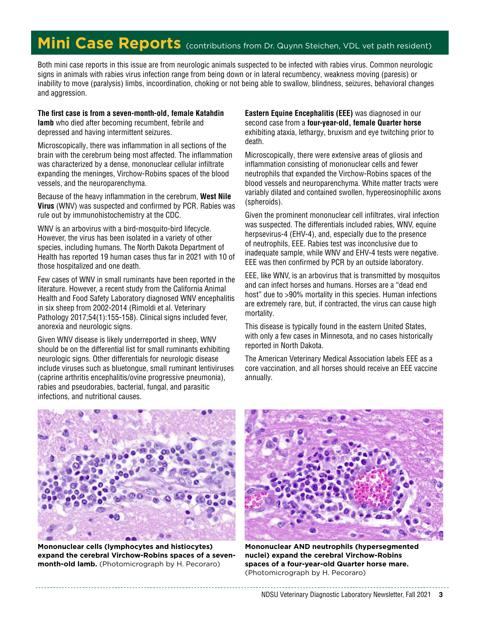# **Mini Case Reports** (contributions from Dr. Quynn Steichen, VDL vet path resident)

Both mini case reports in this issue are from neurologic animals suspected to be infected with rabies virus. Common neurologic signs in animals with rabies virus infection range from being down or in lateral recumbency, weakness moving (paresis) or inability to move (paralysis) limbs, incoordination, choking or not being able to swallow, blindness, seizures, behavioral changes and aggression.

#### **The first case is from a seven-month-old, female Katahdin lamb** who died after becoming recumbent, febrile and depressed and having intermittent seizures.

Microscopically, there was inflammation in all sections of the brain with the cerebrum being most affected. The inflammation was characterized by a dense, mononuclear cellular infiltrate expanding the meninges, Virchow-Robins spaces of the blood vessels, and the neuroparenchyma.

Because of the heavy inflammation in the cerebrum, **West Nile Virus** (WNV) was suspected and confirmed by PCR. Rabies was rule out by immunohistochemistry at the CDC.

WNV is an arbovirus with a bird-mosquito-bird lifecycle. However, the virus has been isolated in a variety of other species, including humans. The North Dakota Department of Health has reported 19 human cases thus far in 2021 with 10 of those hospitalized and one death.

Few cases of WNV in small ruminants have been reported in the literature. However, a recent study from the California Animal Health and Food Safety Laboratory diagnosed WNV encephalitis in six sheep from 2002-2014 (Rimoldi et al. Veterinary Pathology 2017;54(1):155-158). Clinical signs included fever, anorexia and neurologic signs.

Given WNV disease is likely underreported in sheep, WNV should be on the differential list for small ruminants exhibiting neurologic signs. Other differentials for neurologic disease include viruses such as bluetongue, small ruminant lentiviruses (caprine arthritis encephalitis/ovine progressive pneumonia), rabies and pseudorabies, bacterial, fungal, and parasitic infections, and nutritional causes.

**Eastern Equine Encephalitis (EEE)** was diagnosed in our second case from a **four-year-old, female Quarter horse**  exhibiting ataxia, lethargy, bruxism and eye twitching prior to death.

Microscopically, there were extensive areas of gliosis and inflammation consisting of mononuclear cells and fewer neutrophils that expanded the Virchow-Robins spaces of the blood vessels and neuroparenchyma. White matter tracts were variably dilated and contained swollen, hypereosinophilic axons (spheroids).

Given the prominent mononuclear cell infiltrates, viral infection was suspected. The differentials included rabies, WNV, equine herpsevirus-4 (EHV-4), and, especially due to the presence of neutrophils, EEE. Rabies test was inconclusive due to inadequate sample, while WNV and EHV-4 tests were negative. EEE was then confirmed by PCR by an outside laboratory.

EEE, like WNV, is an arbovirus that is transmitted by mosquitos and can infect horses and humans. Horses are a "dead end host" due to >90% mortality in this species. Human infections are extremely rare, but, if contracted, the virus can cause high mortality.

This disease is typically found in the eastern United States, with only a few cases in Minnesota, and no cases historically reported in North Dakota.

The American Veterinary Medical Association labels EEE as a core vaccination, and all horses should receive an EEE vaccine annually.



**Mononuclear cells (lymphocytes and histiocytes) expand the cerebral Virchow-Robins spaces of a sevenmonth-old lamb.** (Photomicrograph by H. Pecoraro)



**Mononuclear AND neutrophils (hypersegmented nuclei) expand the cerebral Virchow-Robins spaces of a four-year-old Quarter horse mare.**  (Photomicrograph by H. Pecoraro)